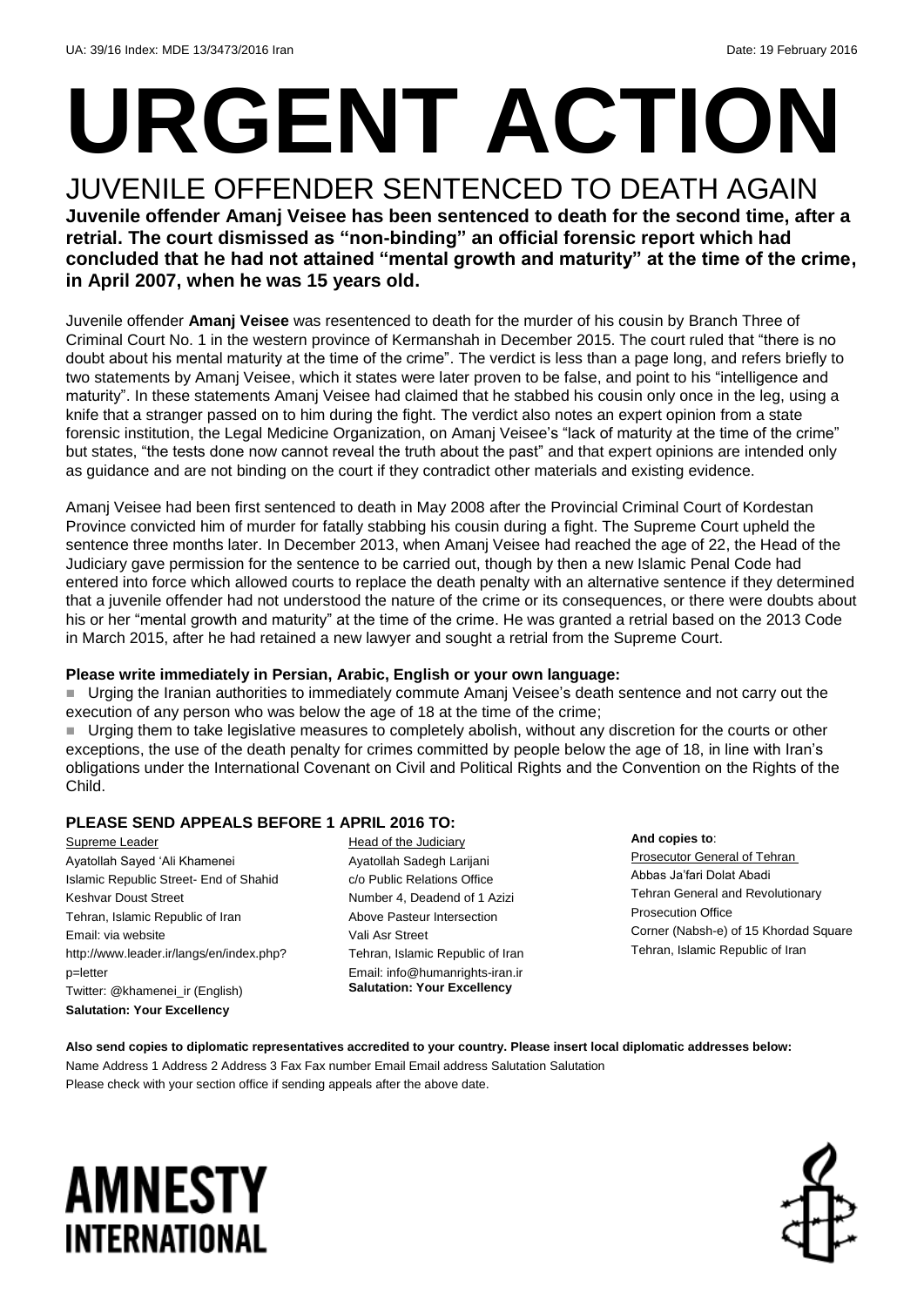# **URGENT ACTION**

#### JUVENILE OFFENDER SENTENCED TO DEATH AGAIN **Juvenile offender Amanj Veisee has been sentenced to death for the second time, after a retrial. The court dismissed as "non-binding" an official forensic report which had concluded that he had not attained "mental growth and maturity" at the time of the crime, in April 2007, when he was 15 years old.**

Juvenile offender **Amanj Veisee** was resentenced to death for the murder of his cousin by Branch Three of Criminal Court No. 1 in the western province of Kermanshah in December 2015. The court ruled that "there is no doubt about his mental maturity at the time of the crime". The verdict is less than a page long, and refers briefly to two statements by Amanj Veisee, which it states were later proven to be false, and point to his "intelligence and maturity". In these statements Amanj Veisee had claimed that he stabbed his cousin only once in the leg, using a knife that a stranger passed on to him during the fight. The verdict also notes an expert opinion from a state forensic institution, the Legal Medicine Organization, on Amanj Veisee's "lack of maturity at the time of the crime" but states, "the tests done now cannot reveal the truth about the past" and that expert opinions are intended only as guidance and are not binding on the court if they contradict other materials and existing evidence.

Amanj Veisee had been first sentenced to death in May 2008 after the Provincial Criminal Court of Kordestan Province convicted him of murder for fatally stabbing his cousin during a fight. The Supreme Court upheld the sentence three months later. In December 2013, when Amanj Veisee had reached the age of 22, the Head of the Judiciary gave permission for the sentence to be carried out, though by then a new Islamic Penal Code had entered into force which allowed courts to replace the death penalty with an alternative sentence if they determined that a juvenile offender had not understood the nature of the crime or its consequences, or there were doubts about his or her "mental growth and maturity" at the time of the crime. He was granted a retrial based on the 2013 Code in March 2015, after he had retained a new lawyer and sought a retrial from the Supreme Court.

#### **Please write immediately in Persian, Arabic, English or your own language:**

 Urging the Iranian authorities to immediately commute Amanj Veisee's death sentence and not carry out the execution of any person who was below the age of 18 at the time of the crime;

 Urging them to take legislative measures to completely abolish, without any discretion for the courts or other exceptions, the use of the death penalty for crimes committed by people below the age of 18, in line with Iran's obligations under the International Covenant on Civil and Political Rights and the Convention on the Rights of the Child.

#### **PLEASE SEND APPEALS BEFORE 1 APRIL 2016 TO:**

Supreme Leader Ayatollah Sayed 'Ali Khamenei Islamic Republic Street- End of Shahid Keshvar Doust Street Tehran, Islamic Republic of Iran Email: via website http://www.leader.ir/langs/en/index.php? p=letter Twitter: @khamenei\_ir (English) **Salutation: Your Excellency**

Head of the Judiciary Ayatollah Sadegh Larijani c/o Public Relations Office Number 4, Deadend of 1 Azizi Above Pasteur Intersection Vali Asr Street Tehran, Islamic Republic of Iran Email: info@humanrights-iran.ir **Salutation: Your Excellency**

#### **And copies to**:

Prosecutor General of Tehran Abbas Ja'fari Dolat Abadi Tehran General and Revolutionary Prosecution Office Corner (Nabsh-e) of 15 Khordad Square Tehran, Islamic Republic of Iran

**Also send copies to diplomatic representatives accredited to your country. Please insert local diplomatic addresses below:** Name Address 1 Address 2 Address 3 Fax Fax number Email Email address Salutation Salutation Please check with your section office if sending appeals after the above date.